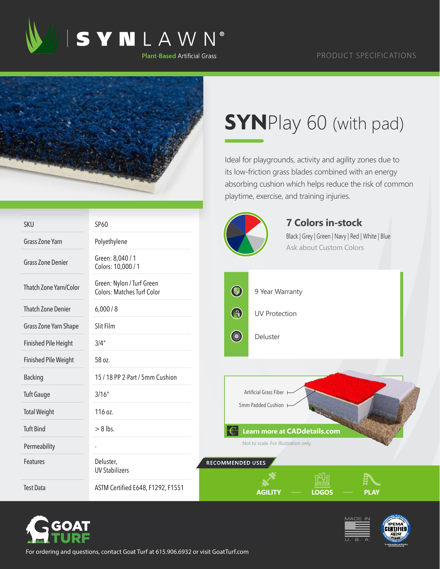

## PRODUCT SPECIFICATIONS



## **SYN**Play 60 (with pad)

Ideal for playgrounds, activity and agility zones due to its low-friction grass blades combined with an energy absorbing cushion which helps reduce the risk of common playtime, exercise, and training injuries.

| <b>SKU</b>                  | SP60                                                           | <b>7 Colors in-stock</b>                                                    |
|-----------------------------|----------------------------------------------------------------|-----------------------------------------------------------------------------|
| <b>Grass Zone Yarn</b>      | Polyethylene                                                   | Black   Grey   Green   Navy   Red   White   Blue<br>Ask about Custom Colors |
| <b>Grass Zone Denier</b>    | Green: 8,040 / 1<br>Colors: 10,000 / 1                         |                                                                             |
| Thatch Zone Yarn/Color      | Green: Nylon / Turf Green<br><b>Colors: Matches Turf Color</b> | $\bigcirc$<br>9 Year Warranty                                               |
| <b>Thatch Zone Denier</b>   | 6,000/8                                                        | $\bigcirc$<br><b>UV Protection</b>                                          |
| Grass Zone Yarn Shape       | Slit Film                                                      |                                                                             |
| <b>Finished Pile Height</b> | 3/4''                                                          | <b>Company</b><br>Deluster                                                  |
| <b>Finished Pile Weight</b> | 58 oz.                                                         |                                                                             |
| <b>Backing</b>              | 15 / 18 PP 2-Part / 5mm Cushion                                |                                                                             |
| <b>Tuft Gauge</b>           | 3/16''                                                         | Artificial Grass Fiber                                                      |
| <b>Total Weight</b>         | 116 oz.                                                        | 5mm Padded Cushion                                                          |
| <b>Tuft Bind</b>            | $> 8$ lbs.                                                     | <b>Learn more at CADdetails.com</b>                                         |
| Permeability                |                                                                | Not to scale. For illustration only.                                        |
| Features                    | Deluster,<br><b>UV Stabilizers</b>                             | RECOMMENDED USES                                                            |
| <b>Test Data</b>            | ASTM Certified E648, F1292, F1551                              | <b>AGILITY</b><br><b>LOGOS</b><br><b>PLAY</b>                               |







For ordering and questions, contact Goat Turf at 615.906.6932 or visit GoatTurf.com